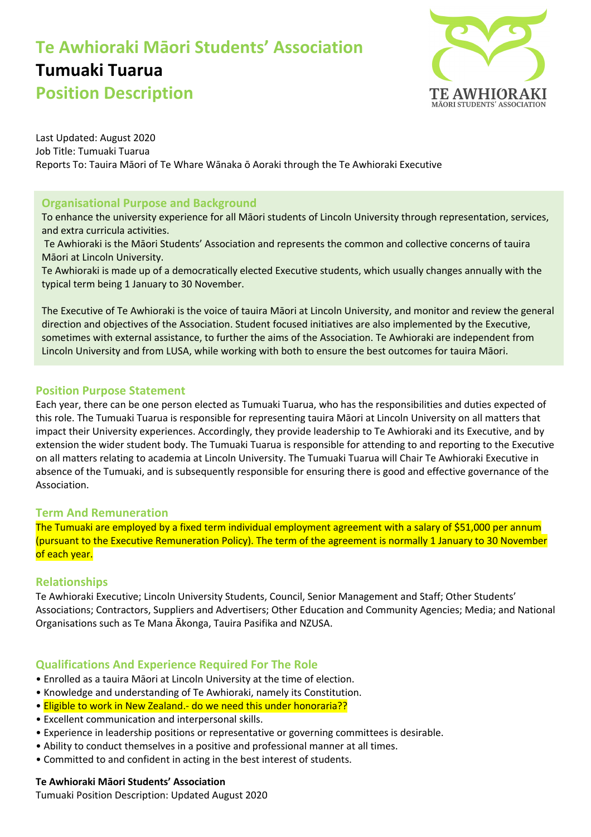# **Te Awhioraki Māori Students' Association Tumuaki Tuarua Position Description**



Last Updated: August 2020 Job Title: Tumuaki Tuarua Reports To: Tauira Māori of Te Whare Wānaka ō Aoraki through the Te Awhioraki Executive

# **Organisational Purpose and Background**

To enhance the university experience for all Māori students of Lincoln University through representation, services, and extra curricula activities.

Te Awhioraki is the Māori Students' Association and represents the common and collective concerns of tauira Māori at Lincoln University.

Te Awhioraki is made up of a democratically elected Executive students, which usually changes annually with the typical term being 1 January to 30 November.

The Executive of Te Awhioraki is the voice of tauira Māori at Lincoln University, and monitor and review the general direction and objectives of the Association. Student focused initiatives are also implemented by the Executive, sometimes with external assistance, to further the aims of the Association. Te Awhioraki are independent from Lincoln University and from LUSA, while working with both to ensure the best outcomes for tauira Māori.

# **Position Purpose Statement**

Each year, there can be one person elected as Tumuaki Tuarua, who has the responsibilities and duties expected of this role. The Tumuaki Tuarua is responsible for representing tauira Māori at Lincoln University on all matters that impact their University experiences. Accordingly, they provide leadership to Te Awhioraki and its Executive, and by extension the wider student body. The Tumuaki Tuarua is responsible for attending to and reporting to the Executive on all matters relating to academia at Lincoln University. The Tumuaki Tuarua will Chair Te Awhioraki Executive in absence of the Tumuaki, and is subsequently responsible for ensuring there is good and effective governance of the Association.

## **Term And Remuneration**

The Tumuaki are employed by a fixed term individual employment agreement with a salary of \$51,000 per annum (pursuant to the Executive Remuneration Policy). The term of the agreement is normally 1 January to 30 November of each year.

## **Relationships**

Te Awhioraki Executive; Lincoln University Students, Council, Senior Management and Staff; Other Students' Associations; Contractors, Suppliers and Advertisers; Other Education and Community Agencies; Media; and National Organisations such as Te Mana Ākonga, Tauira Pasifika and NZUSA.

## **Qualifications And Experience Required For The Role**

- Enrolled as a tauira Māori at Lincoln University at the time of election.
- Knowledge and understanding of Te Awhioraki, namely its Constitution.
- Eligible to work in New Zealand.- do we need this under honoraria??
- Excellent communication and interpersonal skills.
- Experience in leadership positions or representative or governing committees is desirable.
- Ability to conduct themselves in a positive and professional manner at all times.
- Committed to and confident in acting in the best interest of students.

## **Te Awhioraki Māori Students' Association**

Tumuaki Position Description: Updated August 2020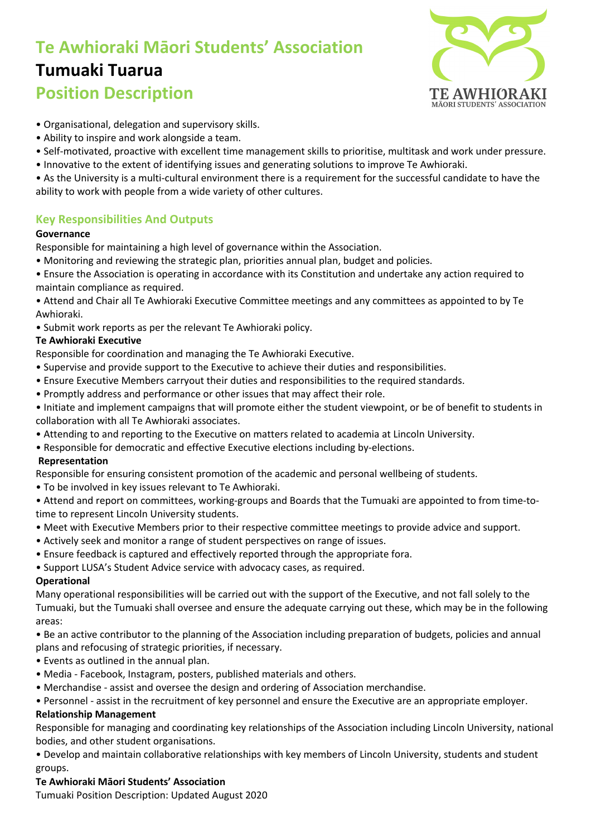# **Te Awhioraki Māori Students' Association Tumuaki Tuarua Position Description**



- Organisational, delegation and supervisory skills.
- Ability to inspire and work alongside a team.
- Self-motivated, proactive with excellent time management skills to prioritise, multitask and work under pressure.
- Innovative to the extent of identifying issues and generating solutions to improve Te Awhioraki.

• As the University is a multi-cultural environment there is a requirement for the successful candidate to have the ability to work with people from a wide variety of other cultures.

# **Key Responsibilities And Outputs**

#### **Governance**

Responsible for maintaining a high level of governance within the Association.

- Monitoring and reviewing the strategic plan, priorities annual plan, budget and policies.
- Ensure the Association is operating in accordance with its Constitution and undertake any action required to maintain compliance as required.
- Attend and Chair all Te Awhioraki Executive Committee meetings and any committees as appointed to by Te Awhioraki.
- Submit work reports as per the relevant Te Awhioraki policy.

## **Te Awhioraki Executive**

Responsible for coordination and managing the Te Awhioraki Executive.

- Supervise and provide support to the Executive to achieve their duties and responsibilities.
- Ensure Executive Members carryout their duties and responsibilities to the required standards.
- Promptly address and performance or other issues that may affect their role.
- Initiate and implement campaigns that will promote either the student viewpoint, or be of benefit to students in collaboration with all Te Awhioraki associates.
- Attending to and reporting to the Executive on matters related to academia at Lincoln University.
- Responsible for democratic and effective Executive elections including by-elections.

## **Representation**

Responsible for ensuring consistent promotion of the academic and personal wellbeing of students.

• To be involved in key issues relevant to Te Awhioraki.

• Attend and report on committees, working-groups and Boards that the Tumuaki are appointed to from time-totime to represent Lincoln University students.

- Meet with Executive Members prior to their respective committee meetings to provide advice and support.
- Actively seek and monitor a range of student perspectives on range of issues.
- Ensure feedback is captured and effectively reported through the appropriate fora.
- Support LUSA's Student Advice service with advocacy cases, as required.

## **Operational**

Many operational responsibilities will be carried out with the support of the Executive, and not fall solely to the Tumuaki, but the Tumuaki shall oversee and ensure the adequate carrying out these, which may be in the following areas:

• Be an active contributor to the planning of the Association including preparation of budgets, policies and annual plans and refocusing of strategic priorities, if necessary.

- Events as outlined in the annual plan.
- Media Facebook, Instagram, posters, published materials and others.
- Merchandise assist and oversee the design and ordering of Association merchandise.

• Personnel - assist in the recruitment of key personnel and ensure the Executive are an appropriate employer.

## **Relationship Management**

Responsible for managing and coordinating key relationships of the Association including Lincoln University, national bodies, and other student organisations.

• Develop and maintain collaborative relationships with key members of Lincoln University, students and student groups.

## **Te Awhioraki Māori Students' Association**

Tumuaki Position Description: Updated August 2020